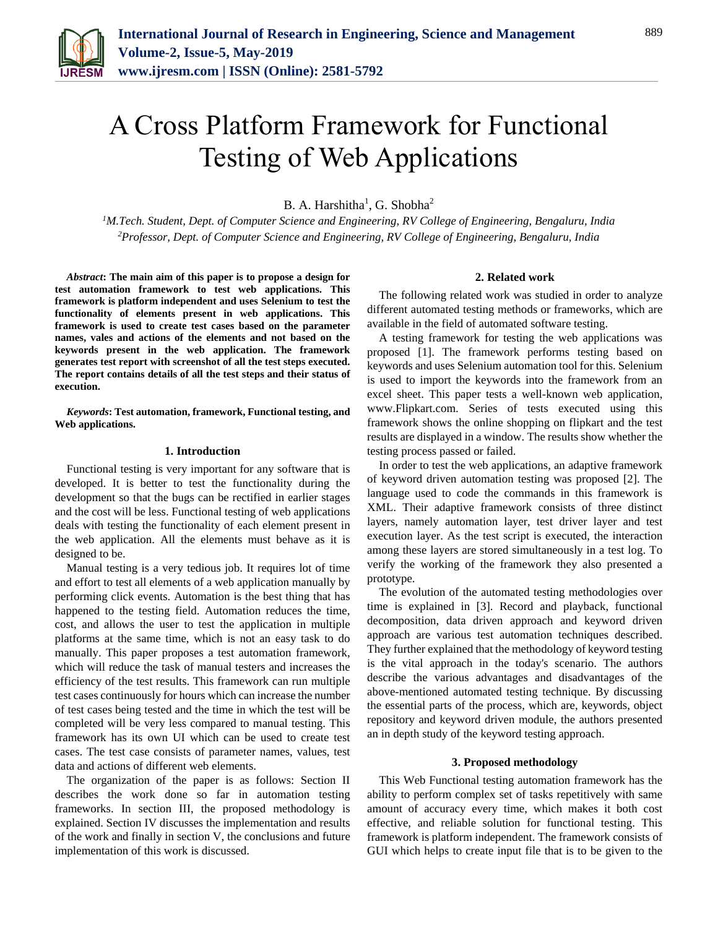

# A Cross Platform Framework for Functional Testing of Web Applications

B. A. Harshitha<sup>1</sup>, G. Shobha<sup>2</sup>

*<sup>1</sup>M.Tech. Student, Dept. of Computer Science and Engineering, RV College of Engineering, Bengaluru, India 2Professor, Dept. of Computer Science and Engineering, RV College of Engineering, Bengaluru, India*

*Abstract***: The main aim of this paper is to propose a design for test automation framework to test web applications. This framework is platform independent and uses Selenium to test the functionality of elements present in web applications. This framework is used to create test cases based on the parameter names, vales and actions of the elements and not based on the keywords present in the web application. The framework generates test report with screenshot of all the test steps executed. The report contains details of all the test steps and their status of execution.** 

*Keywords***: Test automation, framework, Functional testing, and Web applications.**

### **1. Introduction**

Functional testing is very important for any software that is developed. It is better to test the functionality during the development so that the bugs can be rectified in earlier stages and the cost will be less. Functional testing of web applications deals with testing the functionality of each element present in the web application. All the elements must behave as it is designed to be.

Manual testing is a very tedious job. It requires lot of time and effort to test all elements of a web application manually by performing click events. Automation is the best thing that has happened to the testing field. Automation reduces the time, cost, and allows the user to test the application in multiple platforms at the same time, which is not an easy task to do manually. This paper proposes a test automation framework, which will reduce the task of manual testers and increases the efficiency of the test results. This framework can run multiple test cases continuously for hours which can increase the number of test cases being tested and the time in which the test will be completed will be very less compared to manual testing. This framework has its own UI which can be used to create test cases. The test case consists of parameter names, values, test data and actions of different web elements.

The organization of the paper is as follows: Section II describes the work done so far in automation testing frameworks. In section III, the proposed methodology is explained. Section IV discusses the implementation and results of the work and finally in section V, the conclusions and future implementation of this work is discussed.

### **2. Related work**

The following related work was studied in order to analyze different automated testing methods or frameworks, which are available in the field of automated software testing.

A testing framework for testing the web applications was proposed [1]. The framework performs testing based on keywords and uses Selenium automation tool for this. Selenium is used to import the keywords into the framework from an excel sheet. This paper tests a well-known web application, www.Flipkart.com. Series of tests executed using this framework shows the online shopping on flipkart and the test results are displayed in a window. The results show whether the testing process passed or failed.

In order to test the web applications, an adaptive framework of keyword driven automation testing was proposed [2]. The language used to code the commands in this framework is XML. Their adaptive framework consists of three distinct layers, namely automation layer, test driver layer and test execution layer. As the test script is executed, the interaction among these layers are stored simultaneously in a test log. To verify the working of the framework they also presented a prototype.

The evolution of the automated testing methodologies over time is explained in [3]. Record and playback, functional decomposition, data driven approach and keyword driven approach are various test automation techniques described. They further explained that the methodology of keyword testing is the vital approach in the today's scenario. The authors describe the various advantages and disadvantages of the above-mentioned automated testing technique. By discussing the essential parts of the process, which are, keywords, object repository and keyword driven module, the authors presented an in depth study of the keyword testing approach.

#### **3. Proposed methodology**

This Web Functional testing automation framework has the ability to perform complex set of tasks repetitively with same amount of accuracy every time, which makes it both cost effective, and reliable solution for functional testing. This framework is platform independent. The framework consists of GUI which helps to create input file that is to be given to the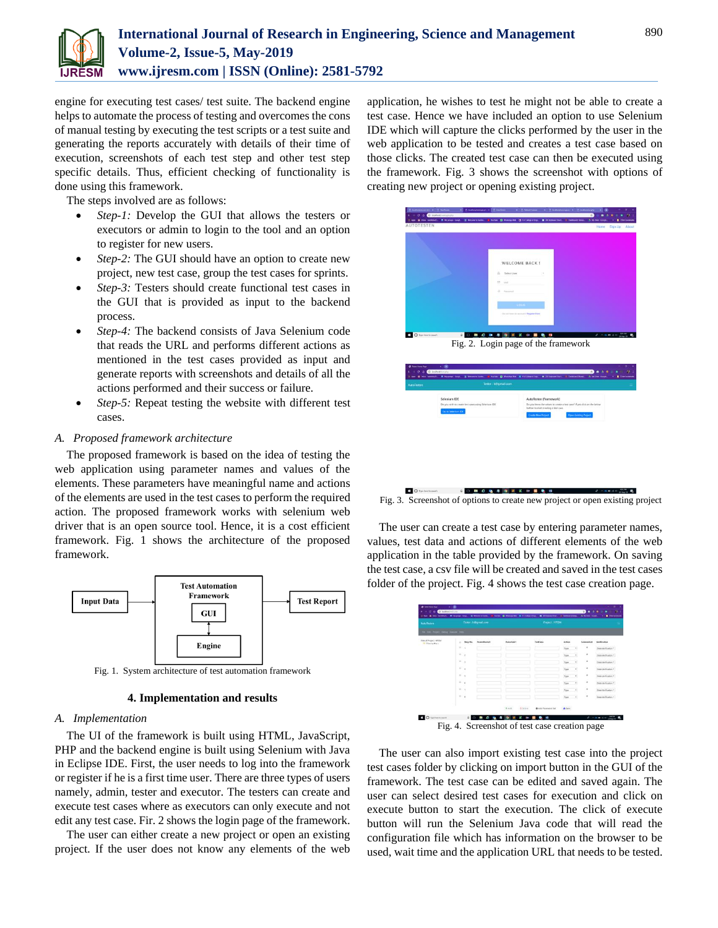

engine for executing test cases/ test suite. The backend engine helps to automate the process of testing and overcomes the cons of manual testing by executing the test scripts or a test suite and generating the reports accurately with details of their time of execution, screenshots of each test step and other test step specific details. Thus, efficient checking of functionality is done using this framework.

The steps involved are as follows:

- *Step-1:* Develop the GUI that allows the testers or executors or admin to login to the tool and an option to register for new users.
- *Step-2:* The GUI should have an option to create new project, new test case, group the test cases for sprints.
- *Step-3:* Testers should create functional test cases in the GUI that is provided as input to the backend process.
- *Step-4:* The backend consists of Java Selenium code that reads the URL and performs different actions as mentioned in the test cases provided as input and generate reports with screenshots and details of all the actions performed and their success or failure.
- *Step-5:* Repeat testing the website with different test cases.

# *A. Proposed framework architecture*

The proposed framework is based on the idea of testing the web application using parameter names and values of the elements. These parameters have meaningful name and actions of the elements are used in the test cases to perform the required action. The proposed framework works with selenium web driver that is an open source tool. Hence, it is a cost efficient framework. Fig. 1 shows the architecture of the proposed framework.



Fig. 1. System architecture of test automation framework

# **4. Implementation and results**

# *A. Implementation*

The UI of the framework is built using HTML, JavaScript, PHP and the backend engine is built using Selenium with Java in Eclipse IDE. First, the user needs to log into the framework or register if he is a first time user. There are three types of users namely, admin, tester and executor. The testers can create and execute test cases where as executors can only execute and not edit any test case. Fir. 2 shows the login page of the framework.

The user can either create a new project or open an existing project. If the user does not know any elements of the web application, he wishes to test he might not be able to create a test case. Hence we have included an option to use Selenium IDE which will capture the clicks performed by the user in the web application to be tested and creates a test case based on those clicks. The created test case can then be executed using the framework. Fig. 3 shows the screenshot with options of creating new project or opening existing project.



Fig. 3. Screenshot of options to create new project or open existing project

The user can create a test case by entering parameter names, values, test data and actions of different elements of the web application in the table provided by the framework. On saving the test case, a csv file will be created and saved in the test cases folder of the project. Fig. 4 shows the test case creation page.

| <b>AutoTesten</b>                                    |               | Tester: h@gmail.com |                            | Project : HPGM                |                                  |                     |                     |
|------------------------------------------------------|---------------|---------------------|----------------------------|-------------------------------|----------------------------------|---------------------|---------------------|
| in the Point Deng Smide rest.                        |               |                     |                            |                               |                                  |                     |                     |
| line of Present serving<br><b>III</b> dispersedden a | Step No.<br>٠ | Person/Kenneth      | Paramitium                 | Territoria                    | Action                           | Greensheet          | Varitration         |
|                                                      | ٠             |                     |                            |                               | ٠<br>$r_{\text{pre}}$            | $\lambda$           | Data Verification * |
|                                                      | ٠<br>×        |                     |                            |                               | ÷.<br>Type                       | $\overline{a}$      | Data Verification * |
|                                                      | ٠<br>×        |                     |                            |                               | ٠<br>Type                        | $\overline{a}$      | Data Verification * |
|                                                      | ٠<br>×        |                     |                            |                               | ٠<br>7/8                         | $\alpha$            | Data Verification * |
|                                                      | ٠<br>٠        |                     |                            |                               | $\overline{a}$<br>7 <sub>1</sub> | $\scriptstyle\rm H$ | Data Verification * |
|                                                      | ×<br>×        |                     |                            |                               | $2$ ryw<br>$\sim$                | $\lambda$           | Data Varification * |
|                                                      | $\sim$<br>×   |                     |                            |                               | 7/8<br>٠                         | ٠                   | Data Verification * |
|                                                      | $\sim$<br>×   |                     |                            |                               | Type<br>٠                        | $\alpha$            | Data Wellication *  |
|                                                      |               |                     | $+2.11$<br><b>G</b> Delete | <b>D</b> John Panamarine Sail | 4.5 <sub>str</sub>               |                     |                     |

The user can also import existing test case into the project test cases folder by clicking on import button in the GUI of the framework. The test case can be edited and saved again. The user can select desired test cases for execution and click on execute button to start the execution. The click of execute button will run the Selenium Java code that will read the configuration file which has information on the browser to be used, wait time and the application URL that needs to be tested.